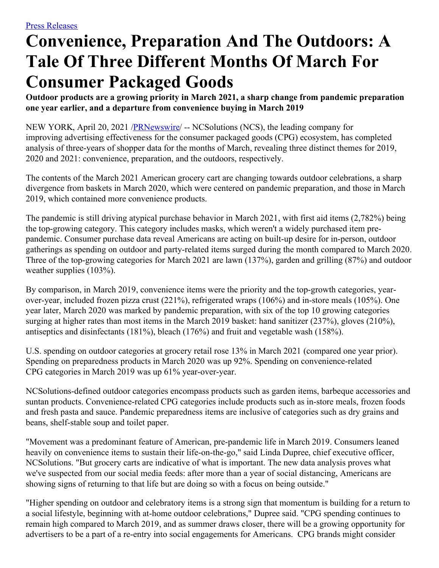## **Convenience, Preparation And The Outdoors: A Tale Of Three Different Months Of March For Consumer Packaged Goods**

**Outdoor products are a growing priority in March 2021, a sharp change from pandemic preparation one year earlier, and a departure from convenience buying in March 2019**

NEW YORK, April 20, 2021 [/PRNewswire](http://www.prnewswire.com/)/ -- NCSolutions (NCS), the leading company for improving advertising effectiveness for the consumer packaged goods (CPG) ecosystem, has completed analysis of three-years of shopper data for the months of March, revealing three distinct themes for 2019, 2020 and 2021: convenience, preparation, and the outdoors, respectively.

The contents of the March 2021 American grocery cart are changing towards outdoor celebrations, a sharp divergence from baskets in March 2020, which were centered on pandemic preparation, and those in March 2019, which contained more convenience products.

The pandemic is still driving atypical purchase behavior in March 2021, with first aid items (2,782%) being the top-growing category. This category includes masks, which weren't a widely purchased item prepandemic. Consumer purchase data reveal Americans are acting on built-up desire for in-person, outdoor gatherings as spending on outdoor and party-related items surged during the month compared to March 2020. Three of the top-growing categories for March 2021 are lawn (137%), garden and grilling (87%) and outdoor weather supplies (103%).

By comparison, in March 2019, convenience items were the priority and the top-growth categories, yearover-year, included frozen pizza crust (221%), refrigerated wraps (106%) and in-store meals (105%). One year later, March 2020 was marked by pandemic preparation, with six of the top 10 growing categories surging at higher rates than most items in the March 2019 basket: hand sanitizer (237%), gloves (210%), antiseptics and disinfectants (181%), bleach (176%) and fruit and vegetable wash (158%).

U.S. spending on outdoor categories at grocery retail rose 13% in March 2021 (compared one year prior). Spending on preparedness products in March 2020 was up 92%. Spending on convenience-related CPG categories in March 2019 was up 61% year-over-year.

NCSolutions-defined outdoor categories encompass products such as garden items, barbeque accessories and suntan products. Convenience-related CPG categories include products such as in-store meals, frozen foods and fresh pasta and sauce. Pandemic preparedness items are inclusive of categories such as dry grains and beans, shelf-stable soup and toilet paper.

"Movement was a predominant feature of American, pre-pandemic life in March 2019. Consumers leaned heavily on convenience items to sustain their life-on-the-go," said Linda Dupree, chief executive officer, NCSolutions. "But grocery carts are indicative of what is important. The new data analysis proves what we've suspected from our social media feeds: after more than a year of social distancing, Americans are showing signs of returning to that life but are doing so with a focus on being outside."

"Higher spending on outdoor and celebratory items is a strong sign that momentum is building for a return to a social lifestyle, beginning with at-home outdoor celebrations," Dupree said. "CPG spending continues to remain high compared to March 2019, and as summer draws closer, there will be a growing opportunity for advertisers to be a part of a re-entry into social engagements for Americans. CPG brands might consider